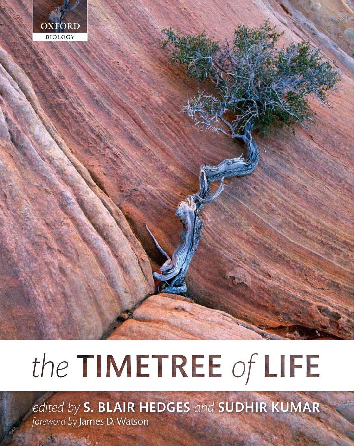

## the TIMETREE of LIFE

edited by S. BLAIR HEDGES and SUDHIR KUMAR foreword by James D. Watson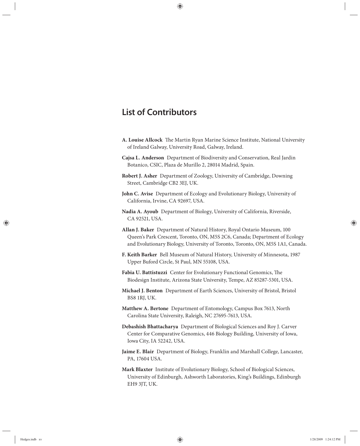## List of Contributors

- A. Louise Allcock The Martin Ryan Marine Science Institute, National University of Ireland Galway, University Road, Galway, Ireland.
- **Cajsa L. Anderson** Department of Biodiversity and Conservation, Real Jardin Botanico, CSIC, Plaza de Murillo 2, 28014 Madrid, Spain.
- **Robert J. Asher** Department of Zoology, University of Cambridge, Downing Street, Cambridge CB2 3EJ, UK.
- **John C. Avise** Department of Ecology and Evolutionary Biology, University of California, Irvine, CA 92697, USA.
- **Nadia A. Ayoub** Department of Biology, University of California, Riverside, CA 92521, USA.
- **Allan J. Baker** Department of Natural History, Royal Ontario Museum, 100 Queen's Park Crescent, Toronto, ON, M5S 2C6, Canada; Department of Ecology and Evolutionary Biology, University of Toronto, Toronto, ON, M5S 1A1, Canada.
- **F. Keith Barker** Bell Museum of Natural History, University of Minnesota, 1987 Upper Buford Circle, St Paul, MN 55108, USA.
- Fabia U. Battistuzzi Center for Evolutionary Functional Genomics, The Biodesign Institute, Arizona State University, Tempe, AZ 85287-5301, USA.
- **Michael J. Benton** Department of Earth Sciences, University of Bristol, Bristol BS8 1RJ, UK.
- **Matthew A. Bertone** Department of Entomology, Campus Box 7613, North Carolina State University, Raleigh, NC 27695-7613, USA.
- **Debashish Bhattacharya** Department of Biological Sciences and Roy J. Carver Center for Comparative Genomics, 446 Biology Building, University of Iowa, Iowa City, IA 52242, USA.
- **Jaime E. Blair** Department of Biology, Franklin and Marshall College, Lancaster, PA, 17604 USA.
- **Mark Blaxter** Institute of Evolutionary Biology, School of Biological Sciences, University of Edinburgh, Ashworth Laboratories, King's Buildings, Edinburgh EH9 3JT, UK.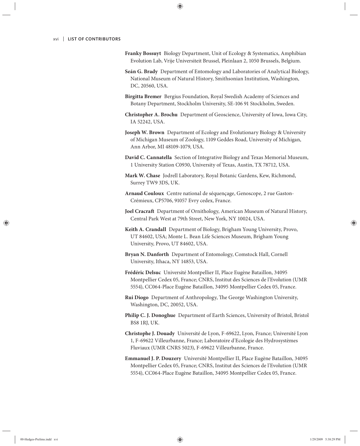- **Franky Bossuyt** Biology Department, Unit of Ecology & Systematics, Amphibian Evolution Lab, Vrije Universiteit Brussel, Pleinlaan 2, 1050 Brussels, Belgium.
- **Seán G. Brady** Department of Entomology and Laboratories of Analytical Biology, National Museum of Natural History, Smithsonian Institution, Washington, DC, 20560, USA.
- **Birgitta Bremer** Bergius Foundation, Royal Swedish Academy of Sciences and Botany Department, Stockholm University, SE-106 91 Stockholm, Sweden.
- **Christopher A. Brochu** Department of Geoscience, University of Iowa, Iowa City, IA 52242, USA.
- **Joseph W. Brown** Department of Ecology and Evolutionary Biology & University of Michigan Museum of Zoology, 1109 Geddes Road, University of Michigan, Ann Arbor, MI 48109-1079, USA.
- **David C. Cannatella** Section of Integrative Biology and Texas Memorial Museum, 1 University Station C0930, University of Texas, Austin, TX 78712, USA.
- **Mark W. Chase** Jodrell Laboratory, Royal Botanic Gardens, Kew, Richmond, Surrey TW9 3DS, UK.
- **Arnaud Couloux** Centre national de séquençage, Genoscope, 2 rue Gaston-Crémieux, CP5706, 91057 Evry cedex, France.
- **Joel Cracraft** Department of Ornithology, American Museum of Natural History, Central Park West at 79th Street, New York, NY 10024, USA.
- **Keith A. Crandall** Department of Biology, Brigham Young University, Provo, UT 84602, USA; Monte L. Bean Life Sciences Museum, Brigham Young University, Provo, UT 84602, USA.
- **Bryan N. Danforth** Department of Entomology, Comstock Hall, Cornell University, Ithaca, NY 14853, USA.
- **Frédéric Delsuc** Université Montpellier II, Place Eugène Bataillon, 34095 Montpellier Cedex 05, France; CNRS, Institut des Sciences de l'Evolution (UMR 5554), CC064-Place Eugène Bataillon, 34095 Montpellier Cedex 05, France.
- Rui Diogo Department of Anthropology, The George Washington University, Washington, DC, 20052, USA.
- **Philip C. J. Donoghue** Department of Earth Sciences, University of Bristol, Bristol BS8 1RJ, UK.
- **Christophe J. Douady** Université de Lyon, F-69622, Lyon, France; Université Lyon 1, F-69622 Villeurbanne, France; Laboratoire d'Ecologie des Hydrosystèmes Fluviaux (UMR CNRS 5023), F-69622 Villeurbanne, France.
- **Emmanuel J. P. Douzery** Université Montpellier II, Place Eugène Bataillon, 34095 Montpellier Cedex 05, France; CNRS, Institut des Sciences de l'Evolution (UMR 5554), CC064-Place Eugène Bataillon, 34095 Montpellier Cedex 05, France.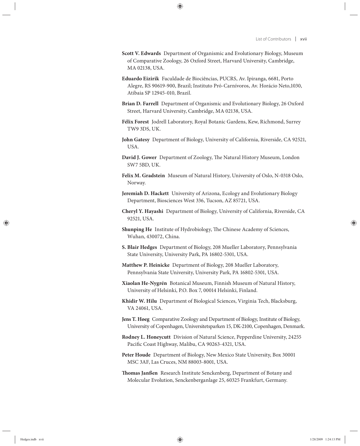- **Scott V. Edwards** Department of Organismic and Evolutionary Biology, Museum of Comparative Zoology, 26 Oxford Street, Harvard University, Cambridge, MA 02138, USA.
- **Eduardo Eizirik** Faculdade de Biociências, PUCRS, Av. Ipiranga, 6681, Porto Alegre, RS 90619-900, Brazil; Instituto Pró-Carnívoros, Av. Horácio Neto,1030, Atibaia SP 12945-010, Brazil.
- **Brian D. Farrell** Department of Organismic and Evolutionary Biology, 26 Oxford Street, Harvard University, Cambridge, MA 02138, USA.
- **Félix Forest** Jodrell Laboratory, Royal Botanic Gardens, Kew, Richmond, Surrey TW9 3DS, UK.
- **John Gatesy** Department of Biology, University of California, Riverside, CA 92521, USA.
- David J. Gower Department of Zoology, The Natural History Museum, London SW7 5BD, UK.
- **Felix M. Gradstein** Museum of Natural History, University of Oslo, N-0318 Oslo, Norway.
- **Jeremiah D. Hackett** University of Arizona, Ecology and Evolutionary Biology Department, Biosciences West 336, Tucson, AZ 85721, USA.
- **Cheryl Y. Hayashi** Department of Biology, University of California, Riverside, CA 92521, USA.
- Shunping He Institute of Hydrobiology, The Chinese Academy of Sciences, Wuhan, 430072, China.
- **S. Blair Hedges** Department of Biology, 208 Mueller Laboratory, Pennsylvania State University, University Park, PA 16802-5301, USA.
- **Matthew P. Heinicke** Department of Biology, 208 Mueller Laboratory, Pennsylvania State University, University Park, PA 16802-5301, USA.
- **Xiaolan He-Nygrén** Botanical Museum, Finnish Museum of Natural History, University of Helsinki, P.O. Box 7, 00014 Helsinki, Finland.
- **Khidir W. Hilu** Department of Biological Sciences, Virginia Tech, Blacksburg, VA 24061, USA.
- **Jens T. Høeg** Comparative Zoology and Department of Biology, Institute of Biology, University of Copenhagen, Universitetsparken 15, DK-2100, Copenhagen, Denmark.
- **Rodney L. Honeycutt** Division of Natural Science, Pepperdine University, 24255 Pacific Coast Highway, Malibu, CA 90263-4321, USA.
- **Peter Houde** Department of Biology, New Mexico State University, Box 30001 MSC 3AF, Las Cruces, NM 88003-8001, USA.
- **Thomas Janßen** Research Institute Senckenberg, Department of Botany and Molecular Evolution, Senckenberganlage 25, 60325 Frankfurt, Germany.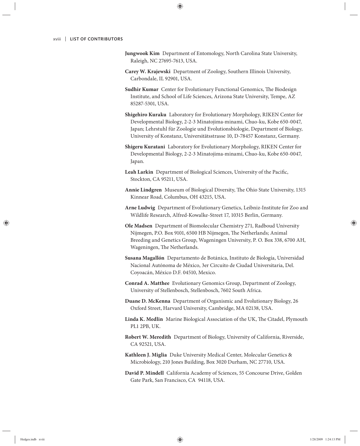- **Jungwook Kim** Department of Entomology, North Carolina State University, Raleigh, NC 27695-7613, USA.
- **Carey W. Krajewski** Department of Zoology, Southern Illinois University, Carbondale, IL 92901, USA.
- **Sudhir Kumar** Center for Evolutionary Functional Genomics, The Biodesign Institute, and School of Life Sciences, Arizona State University, Tempe, AZ 85287-5301, USA.
- **Shigehiro Kuraku** Laboratory for Evolutionary Morphology, RIKEN Center for Developmental Biology, 2-2-3 Minatojima-minami, Chuo-ku, Kobe 650-0047, Japan; Lehrstuhl für Zoologie und Evolutionsbiologie, Department of Biology, University of Konstanz, Universitätsstrasse 10, D-78457 Konstanz, Germany.
- **Shigeru Kuratani** Laboratory for Evolutionary Morphology, RIKEN Center for Developmental Biology, 2-2-3 Minatojima-minami, Chuo-ku, Kobe 650-0047, Japan.
- Leah Larkin Department of Biological Sciences, University of the Pacific, Stockton, CA 95211, USA.
- **Annie Lindgren** Museum of Biological Diversity, The Ohio State University, 1315 Kinnear Road, Columbus, OH 43215, USA.
- **Arne Ludwig** Department of Evolutionary Genetics, Leibniz-Institute for Zoo and Wildlife Research, Alfred-Kowalke-Street 17, 10315 Berlin, Germany.
- **Ole Madsen** Department of Biomolecular Chemistry 271, Radboud University Nijmegen, P.O. Box 9101, 6500 HB Nijmegen, The Netherlands; Animal Breeding and Genetics Group, Wageningen University, P. O. Box 338, 6700 AH, Wageningen, The Netherlands.
- **Susana Magallón** Departamento de Botánica, Instituto de Biología, Universidad Nacional Autónoma de México, 3er Circuito de Ciudad Universitaria, Del. Coyoacán, México D.F. 04510, Mexico.
- **Conrad A. Matthee** Evolutionary Genomics Group, Department of Zoology, University of Stellenbosch, Stellenbosch, 7602 South Africa.
- **Duane D. McKenna** Department of Organismic and Evolutionary Biology, 26 Oxford Street, Harvard University, Cambridge, MA 02138, USA.
- Linda K. Medlin Marine Biological Association of the UK, The Citadel, Plymouth PL1 2PB, UK.
- **Robert W. Meredith** Department of Biology, University of California, Riverside, CA 92521, USA.
- **Kathleen J. Miglia** Duke University Medical Center, Molecular Genetics & Microbiology, 210 Jones Building, Box 3020 Durham, NC 27710, USA.
- **David P. Mindell** California Academy of Sciences, 55 Concourse Drive, Golden Gate Park, San Francisco, CA 94118, USA.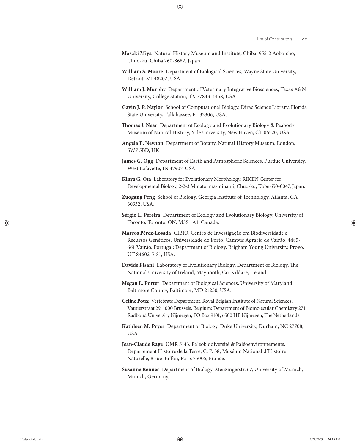- **Masaki Miya** Natural History Museum and Institute, Chiba, 955-2 Aoba-cho, Chuo-ku, Chiba 260-8682, Japan.
- **William S. Moore** Department of Biological Sciences, Wayne State University, Detroit, MI 48202, USA.
- **William J. Murphy** Department of Veterinary Integrative Biosciences, Texas A&M University, College Station, TX 77843-4458, USA.
- **Gavin J. P. Naylor** School of Computational Biology, Dirac Science Library, Florida State University, Tallahassee, FL 32306, USA.
- **Thomas J. Near** Department of Ecology and Evolutionary Biology & Peabody Museum of Natural History, Yale University, New Haven, CT 06520, USA.
- **Angela E. Newton** Department of Botany, Natural History Museum, London, SW7 5BD, UK.
- **James G. Ogg** Department of Earth and Atmospheric Sciences, Purdue University, West Lafayette, IN 47907, USA.
- **Kinya G. Ota** Laboratory for Evolutionary Morphology, RIKEN Center for Developmental Biology, 2-2-3 Minatojima-minami, Chuo-ku, Kobe 650-0047, Japan.
- **Zuogang Peng** School of Biology, Georgia Institute of Technology, Atlanta, GA 30332, USA.
- **Sérgio L. Pereira** Department of Ecology and Evolutionary Biology, University of Toronto, Toronto, ON, M5S 1A1, Canada.
- **Marcos Pérez-Losada** CIBIO, Centro de Investigação em Biodiversidade e Recursos Genéticos, Universidade do Porto, Campus Agrário de Vairão, 4485- 661 Vairão, Portugal; Department of Biology, Brigham Young University, Provo, UT 84602-5181, USA.
- Davide Pisani Laboratory of Evolutionary Biology, Department of Biology, The National University of Ireland, Maynooth, Co. Kildare, Ireland.
- **Megan L. Porter** Department of Biological Sciences, University of Maryland Baltimore County, Baltimore, MD 21250, USA.
- **Céline Poux** Vertebrate Department, Royal Belgian Institute of Natural Sciences, Vautierstraat 29, 1000 Brussels, Belgium; Department of Biomolecular Chemistry 271, Radboud University Nijmegen, PO Box 9101, 6500 HB Nijmegen, The Netherlands.
- **Kathleen M. Pryer** Department of Biology, Duke University, Durham, NC 27708, USA.
- **Jean-Claude Rage** UMR 5143, Paléobiodiversité & Paléoenvironnements, Département Histoire de la Terre, C. P. 38, Muséum National d'Histoire Naturelle, 8 rue Buffon, Paris 75005, France.
- **Susanne Renner** Department of Biology, Menzingerstr. 67, University of Munich, Munich, Germany.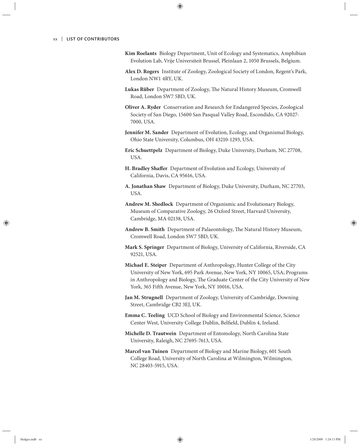- **Kim Roelants** Biology Department, Unit of Ecology and Systematics, Amphibian Evolution Lab, Vrije Universiteit Brussel, Pleinlaan 2, 1050 Brussels, Belgium.
- **Alex D. Rogers** Institute of Zoology, Zoological Society of London, Regent's Park, London NW1 4RY, UK.
- **Lukas Rüber** Department of Zoology, The Natural History Museum, Cromwell Road, London SW7 5BD, UK.
- **Oliver A. Ryder** Conservation and Research for Endangered Species, Zoological Society of San Diego, 15600 San Pasqual Valley Road, Escondido, CA 92027- 7000, USA.
- **Jennifer M. Sander** Department of Evolution, Ecology, and Organismal Biology, Ohio State University, Columbus, OH 43210-1293, USA.
- **Eric Schuettpelz** Department of Biology, Duke University, Durham, NC 27708, USA.
- **H. Bradley Shaffer** Department of Evolution and Ecology, University of California, Davis, CA 95616, USA.
- **A. Jonathan Shaw** Department of Biology, Duke University, Durham, NC 27703, USA.
- **Andrew M. Shedlock** Department of Organismic and Evolutionary Biology, Museum of Comparative Zoology, 26 Oxford Street, Harvard University, Cambridge, MA 02138, USA.
- Andrew B. Smith Department of Palaeontology, The Natural History Museum, Cromwell Road, London SW7 5BD, UK.
- **Mark S. Springer** Department of Biology, University of California, Riverside, CA 92521, USA.
- **Michael E. Steiper** Department of Anthropology, Hunter College of the City University of New York, 695 Park Avenue, New York, NY 10065, USA; Programs in Anthropology and Biology, The Graduate Center of the City University of New York, 365 Fifth Avenue, New York, NY 10016, USA.
- **Jan M. Strugnell** Department of Zoology, University of Cambridge, Downing Street, Cambridge CB2 3EJ, UK.
- **Emma C. Teeling** UCD School of Biology and Environmental Science, Science Center West, University College Dublin, Belfield, Dublin 4, Ireland.
- **Michelle D. Trautwein** Department of Entomology, North Carolina State University, Raleigh, NC 27695-7613, USA.
- **Marcel van Tuinen** Department of Biology and Marine Biology, 601 South College Road, University of North Carolina at Wilmington, Wilmington, NC 28403-5915, USA.